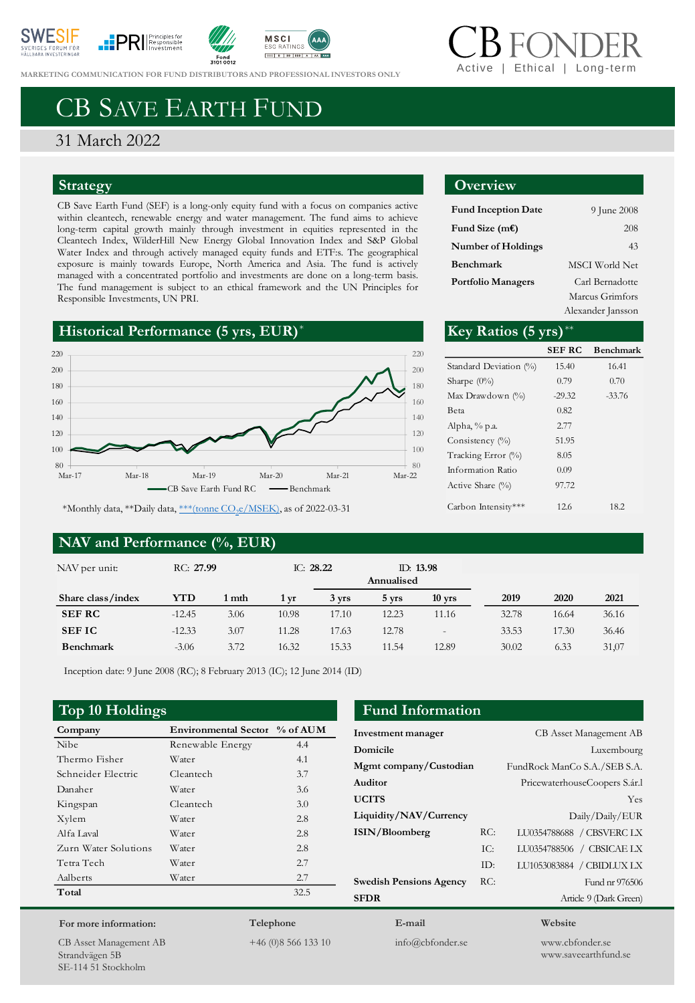







**MARKETING COMMUNICATION FOR FUND DI[STRIBUTORS](https://www.svanen.se/en/funds/save-in-funds/) AND PROFESSIONAL INVESTORS ONLY** 

# Ethical | Long-tern

## CB SAVE EARTH FUND

### 31 March 2022

### **Strategy**

CB Save Earth Fund (SEF) is a long-only equity fund with a focus on companies active within cleantech, renewable energy and water management. The fund aims to achieve long-term capital growth mainly through investment in equities represented in the Cleantech Index, WilderHill New Energy Global Innovation Index and S&P Global Water Index and through actively managed equity funds and ETF:s. The geographical exposure is mainly towards Europe, North America and Asia. The fund is actively managed with a concentrated portfolio and investments are done on a long-term basis. The fund management is subject to an ethical framework and the UN Principles for Responsible Investments, UN PRI.





\*Monthly data, \*\*Daily data, <u>\*\*\*(tonne CO<sub>2</sub>e/MSEK</u>), as of 2022-03-31

### **NAV and Performance (%, EUR)**

### **Overview**

| <b>Fund Inception Date</b> | 9 June 2008     |
|----------------------------|-----------------|
| Fund Size (m $\epsilon$ )  | 208             |
| <b>Number of Holdings</b>  | 43              |
| Benchmark                  | MSCI World Net  |
| <b>Portfolio Managers</b>  | Carl Bernadotte |
|                            | Marcus Grimfors |
|                            |                 |

Alexander Jansson

|                        | Key Ratios (5 yrs)     |               |                  |
|------------------------|------------------------|---------------|------------------|
| 220                    |                        | <b>SEF RC</b> | <b>Benchmark</b> |
| 200                    | Standard Deviation (%) | 15.40         | 16.41            |
| 180                    | Sharpe $(0\%)$         | 0.79          | 0.70             |
| 160                    | Max Drawdown (%)       | $-29.32$      | $-33.76$         |
|                        | Beta                   | 0.82          |                  |
| 140                    | Alpha, $% p.a.$        | 2.77          |                  |
| 120                    | Consistency (%)        | 51.95         |                  |
| 100                    | Tracking Error (%)     | 8.05          |                  |
| 80<br>Mar-21<br>Mar-22 | Information Ratio      | 0.09          |                  |
| nchmark                | Active Share $(\%)$    | 97.72         |                  |
| f 2022-03-31           | Carbon Intensity***    | 12.6          | 18.2             |

| NAV per unit:     | RC: 27.99 |       | IC: $28.22$ |       | Annualised | ID: $13.98$              |       |       |       |
|-------------------|-----------|-------|-------------|-------|------------|--------------------------|-------|-------|-------|
| Share class/index | YTD       | 1 mth | 1 vr        | 3 yrs | 5 vrs      | $10$ yrs                 | 2019  | 2020  | 2021  |
| <b>SEF RC</b>     | $-12.45$  | 3.06  | 10.98       | 17.10 | 12.23      | 11.16                    | 32.78 | 16.64 | 36.16 |
| <b>SEFIC</b>      | $-12.33$  | 3.07  | 11.28       | 17.63 | 12.78      | $\overline{\phantom{a}}$ | 33.53 | 17.30 | 36.46 |
| <b>Benchmark</b>  | $-3.06$   | 3.72  | 16.32       | 15.33 | 11.54      | 12.89                    | 30.02 | 6.33  | 31,07 |

Inception date: 9 June 2008 (RC); 8 February 2013 (IC); 12 June 2014 (ID)

| Company              | Environmental Sector % of AUM |      |
|----------------------|-------------------------------|------|
| <b>Nibe</b>          | Renewable Energy              | 4.4  |
| Thermo Fisher        | Water                         | 4.1  |
| Schneider Electric   | Cleantech                     | 3.7  |
| Danaher              | Water                         | 3.6  |
| Kingspan             | Cleantech                     | 3.0  |
| Xylem                | Water                         | 2.8  |
| Alfa Laval           | Water                         | 2.8  |
| Zurn Water Solutions | Water                         | 2.8  |
| Tetra Tech           | Water                         | 2.7  |
| Aalberts             | Water                         | 2.7  |
| Total                |                               | 32.5 |
|                      |                               |      |

### **Top 10 Holdings Fund Information**

| Investment manager             |       | <b>CB</b> Asset Management AB |
|--------------------------------|-------|-------------------------------|
| Domicile                       |       | Luxembourg                    |
| Mgmt company/Custodian         |       | FundRock ManCo S.A./SEB S.A.  |
| Auditor                        |       | PricewaterhouseCoopers S.ár.l |
| <b>UCITS</b>                   |       | Yes                           |
| Liquidity/NAV/Currency         |       | Daily/Daily/EUR               |
| ISIN/Bloomberg                 | RC:   | LU0354788688 / CBSVERC LX     |
|                                | TC:   | LU0354788506 / CBSICAE LX     |
|                                | $ID+$ | LU1053083884 / CBIDLUX LX     |
| <b>Swedish Pensions Agency</b> | RC:   | Fund nr 976506                |
| <b>SFDR</b>                    |       | Article 9 (Dark Green)        |
| E-mail                         |       | Website                       |

CB Asset Management AB Strandvägen 5B SE-114 51 Stockholm

**For more information:**

**Telephone** +46 (0)8 566 133 10

info@cbfonder.se

www.cbfonder.se www.saveearthfund.se